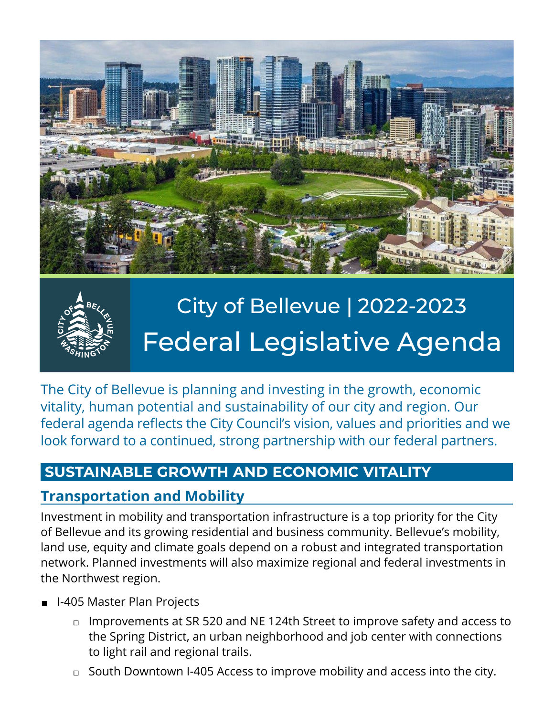



# City of Bellevue | 2022-2023 Federal Legislative Agenda

The City of Bellevue is planning and investing in the growth, economic vitality, human potential and sustainability of our city and region. Our federal agenda reflects the City Council's vision, values and priorities and we look forward to a continued, strong partnership with our federal partners.

#### **SUSTAINABLE GROWTH AND ECONOMIC VITALITY**

#### **Transportation and Mobility**

Investment in mobility and transportation infrastructure is a top priority for the City of Bellevue and its growing residential and business community. Bellevue's mobility, land use, equity and climate goals depend on a robust and integrated transportation network. Planned investments will also maximize regional and federal investments in the Northwest region.

- ◼ I-405 Master Plan Projects
	- ◻ Improvements at SR 520 and NE 124th Street to improve safety and access to the Spring District, an urban neighborhood and job center with connections to light rail and regional trails.
	- ◻ South Downtown I-405 Access to improve mobility and access into the city.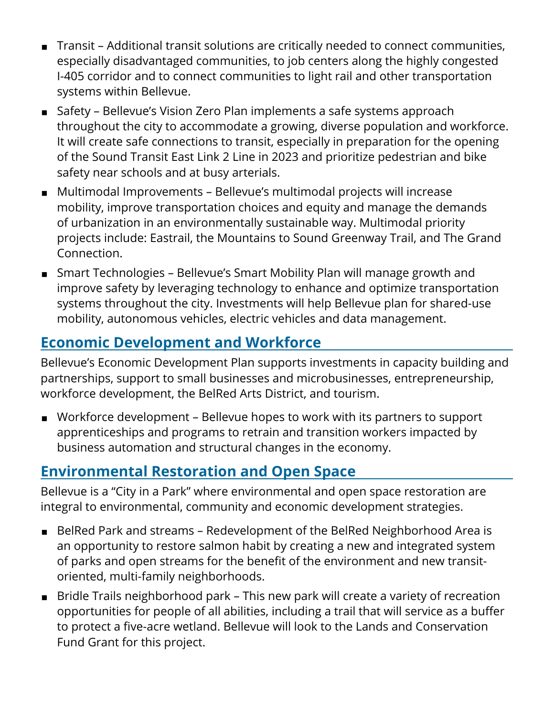- ◼ Transit Additional transit solutions are critically needed to connect communities, especially disadvantaged communities, to job centers along the highly congested I-405 corridor and to connect communities to light rail and other transportation systems within Bellevue.
- Safety Bellevue's Vision Zero Plan implements a safe systems approach throughout the city to accommodate a growing, diverse population and workforce. It will create safe connections to transit, especially in preparation for the opening of the Sound Transit East Link 2 Line in 2023 and prioritize pedestrian and bike safety near schools and at busy arterials.
- Multimodal Improvements Bellevue's multimodal projects will increase mobility, improve transportation choices and equity and manage the demands of urbanization in an environmentally sustainable way. Multimodal priority projects include: Eastrail, the Mountains to Sound Greenway Trail, and The Grand Connection.
- Smart Technologies Bellevue's Smart Mobility Plan will manage growth and improve safety by leveraging technology to enhance and optimize transportation systems throughout the city. Investments will help Bellevue plan for shared-use mobility, autonomous vehicles, electric vehicles and data management.

## **Economic Development and Workforce**

Bellevue's Economic Development Plan supports investments in capacity building and partnerships, support to small businesses and microbusinesses, entrepreneurship, workforce development, the BelRed Arts District, and tourism.

■ Workforce development – Bellevue hopes to work with its partners to support apprenticeships and programs to retrain and transition workers impacted by business automation and structural changes in the economy.

# **Environmental Restoration and Open Space**

Bellevue is a "City in a Park" where environmental and open space restoration are integral to environmental, community and economic development strategies.

- BelRed Park and streams Redevelopment of the BelRed Neighborhood Area is an opportunity to restore salmon habit by creating a new and integrated system of parks and open streams for the benefit of the environment and new transitoriented, multi-family neighborhoods.
- Bridle Trails neighborhood park This new park will create a variety of recreation opportunities for people of all abilities, including a trail that will service as a buffer to protect a five-acre wetland. Bellevue will look to the Lands and Conservation Fund Grant for this project.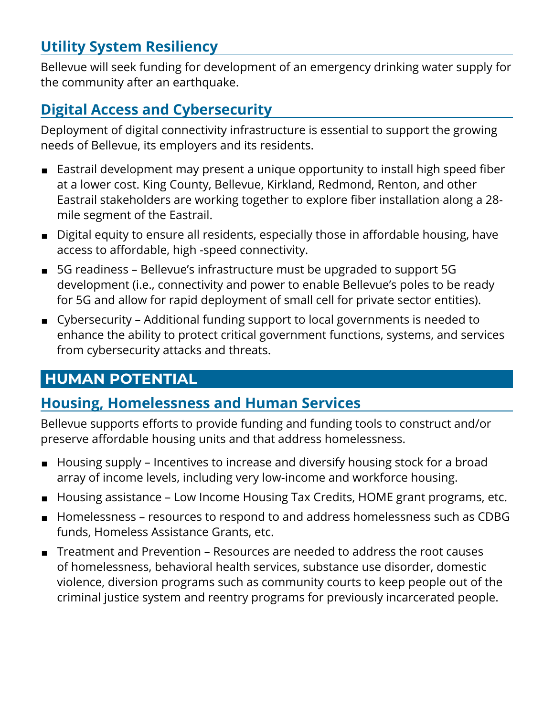### **Utility System Resiliency**

Bellevue will seek funding for development of an emergency drinking water supply for the community after an earthquake.

### **Digital Access and Cybersecurity**

Deployment of digital connectivity infrastructure is essential to support the growing needs of Bellevue, its employers and its residents.

- Eastrail development may present a unique opportunity to install high speed fiber at a lower cost. King County, Bellevue, Kirkland, Redmond, Renton, and other Eastrail stakeholders are working together to explore fiber installation along a 28 mile segment of the Eastrail.
- Digital equity to ensure all residents, especially those in affordable housing, have access to affordable, high -speed connectivity.
- 5G readiness Bellevue's infrastructure must be upgraded to support 5G development (i.e., connectivity and power to enable Bellevue's poles to be ready for 5G and allow for rapid deployment of small cell for private sector entities).
- Cybersecurity Additional funding support to local governments is needed to enhance the ability to protect critical government functions, systems, and services from cybersecurity attacks and threats.

#### **HUMAN POTENTIAL**

#### **Housing, Homelessness and Human Services**

Bellevue supports efforts to provide funding and funding tools to construct and/or preserve affordable housing units and that address homelessness.

- Housing supply Incentives to increase and diversify housing stock for a broad array of income levels, including very low-income and workforce housing.
- Housing assistance Low Income Housing Tax Credits, HOME grant programs, etc.
- Homelessness resources to respond to and address homelessness such as CDBG funds, Homeless Assistance Grants, etc.
- Treatment and Prevention Resources are needed to address the root causes of homelessness, behavioral health services, substance use disorder, domestic violence, diversion programs such as community courts to keep people out of the criminal justice system and reentry programs for previously incarcerated people.